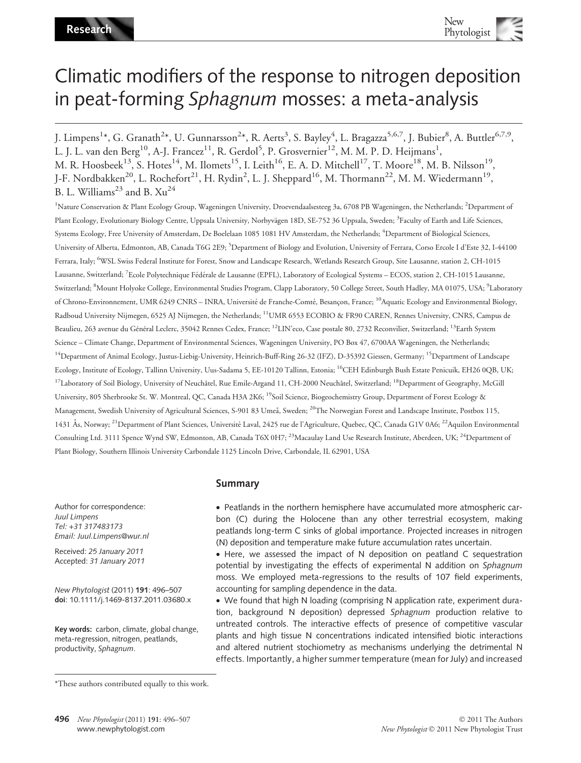# Climatic modifiers of the response to nitrogen deposition in peat-forming Sphagnum mosses: a meta-analysis

J. Limpens<sup>1</sup>\*, G. Granath<sup>2</sup>\*, U. Gunnarsson<sup>2</sup>\*, R. Aerts<sup>3</sup>, S. Bayley<sup>4</sup>, L. Bragazza<sup>5,6,7</sup>, J. Bubier<sup>8</sup>, A. Buttler<sup>6,7,9</sup>, L. J. L. van den Berg $^{10}$ , A-J. Francez $^{11}$ , R. Gerdol $^5$ , P. Grosvernier $^{12}$ , M. M. P. D. Heijmans $^1,$ M. R. Hoosbeek<sup>13</sup>, S. Hotes<sup>14</sup>, M. Ilomets<sup>15</sup>, I. Leith<sup>16</sup>, E. A. D. Mitchell<sup>17</sup>, T. Moore<sup>18</sup>, M. B. Nilsson<sup>19</sup>, J-F. Nordbakken<sup>20</sup>, L. Rochefort<sup>21</sup>, H. Rydin<sup>2</sup>, L. J. Sheppard<sup>16</sup>, M. Thormann<sup>22</sup>, M. M. Wiedermann<sup>19</sup>, B. L. Williams<sup>23</sup> and B.  $Xu^{24}$ 

<sup>1</sup>Nature Conservation & Plant Ecology Group, Wageningen University, Droevendaalsesteeg 3a, 6708 PB Wageningen, the Netherlands; <sup>2</sup>Department of Plant Ecology, Evolutionary Biology Centre, Uppsala University, Norbyvägen 18D, SE-752 36 Uppsala, Sweden; <sup>3</sup>Faculty of Earth and Life Sciences, Systems Ecology, Free University of Amsterdam, De Boelelaan 1085 1081 HV Amsterdam, the Netherlands; <sup>4</sup>Department of Biological Sciences, University of Alberta, Edmonton, AB, Canada T6G 2E9; <sup>5</sup>Department of Biology and Evolution, University of Ferrara, Corso Ercole I d'Este 32, I-44100 Ferrara, Italy; <sup>6</sup>WSL Swiss Federal Institute for Forest, Snow and Landscape Research, Wetlands Research Group, Site Lausanne, station 2, CH-1015 Lausanne, Switzerland; <sup>7</sup>Ecole Polytechnique Fédérale de Lausanne (EPFL), Laboratory of Ecological Systems – ECOS, station 2, CH-1015 Lausanne, Switzerland; <sup>8</sup>Mount Holyoke College, Environmental Studies Program, Clapp Laboratory, 50 College Street, South Hadley, MA 01075, USA; <sup>9</sup>Laboratory of Chrono-Environnement, UMR 6249 CNRS – INRA, Université de Franche-Comté, Besançon, France; <sup>10</sup>Aquatic Ecology and Environmental Biology, Radboud University Nijmegen, 6525 AJ Nijmegen, the Netherlands; 11UMR 6553 ECOBIO & FR90 CAREN, Rennes University, CNRS, Campus de Beaulieu, 263 avenue du Général Leclerc, 35042 Rennes Cedex, France; <sup>12</sup>LIN'eco, Case postale 80, 2732 Reconvilier, Switzerland; <sup>13</sup>Earth System Science – Climate Change, Department of Environmental Sciences, Wageningen University, PO Box 47, 6700AA Wageningen, the Netherlands; <sup>14</sup>Department of Animal Ecology, Justus-Liebig-University, Heinrich-Buff-Ring 26-32 (IFZ), D-35392 Giessen, Germany; <sup>15</sup>Department of Landscape Ecology, Institute of Ecology, Tallinn University, Uus-Sadama 5, EE-10120 Tallinn, Estonia; <sup>16</sup>CEH Edinburgh Bush Estate Penicuik, EH26 0QB, UK; <sup>17</sup>Laboratory of Soil Biology, University of Neuchâtel, Rue Emile-Argand 11, CH-2000 Neuchâtel, Switzerland; <sup>18</sup>Department of Geography, McGill University, 805 Sherbrooke St. W. Montreal, QC, Canada H3A 2K6; 19Soil Science, Biogeochemistry Group, Department of Forest Ecology & Management, Swedish University of Agricultural Sciences, S-901 83 Umeå, Sweden; <sup>20</sup>The Norwegian Forest and Landscape Institute, Postbox 115, 1431 Ås, Norway; <sup>21</sup>Department of Plant Sciences, Université Laval, 2425 rue de l'Agriculture, Quebec, QC, Canada G1V 0A6; <sup>22</sup>Aquilon Environmental Consulting Ltd. 3111 Spence Wynd SW, Edmonton, AB, Canada T6X 0H7; <sup>23</sup>Macaulay Land Use Research Institute, Aberdeen, UK; <sup>24</sup>Department of Plant Biology, Southern Illinois University Carbondale 1125 Lincoln Drive, Carbondale, IL 62901, USA

Author for correspondence: Juul Limpens Tel: +31 317483173 Email: Juul.Limpens@wur.nl

Received: 25 January 2011 Accepted: 31 January 2011

New Phytologist (2011) 191: 496–507 doi: 10.1111/j.1469-8137.2011.03680.x

Key words: carbon, climate, global change, meta-regression, nitrogen, peatlands, productivity, Sphagnum.

## Summary

• Peatlands in the northern hemisphere have accumulated more atmospheric carbon (C) during the Holocene than any other terrestrial ecosystem, making peatlands long-term C sinks of global importance. Projected increases in nitrogen (N) deposition and temperature make future accumulation rates uncertain.

• Here, we assessed the impact of N deposition on peatland C sequestration potential by investigating the effects of experimental N addition on Sphagnum moss. We employed meta-regressions to the results of 107 field experiments, accounting for sampling dependence in the data.

• We found that high N loading (comprising N application rate, experiment duration, background N deposition) depressed Sphagnum production relative to untreated controls. The interactive effects of presence of competitive vascular plants and high tissue N concentrations indicated intensified biotic interactions and altered nutrient stochiometry as mechanisms underlying the detrimental N effects. Importantly, a higher summer temperature (mean for July) and increased

<sup>\*</sup>These authors contributed equally to this work.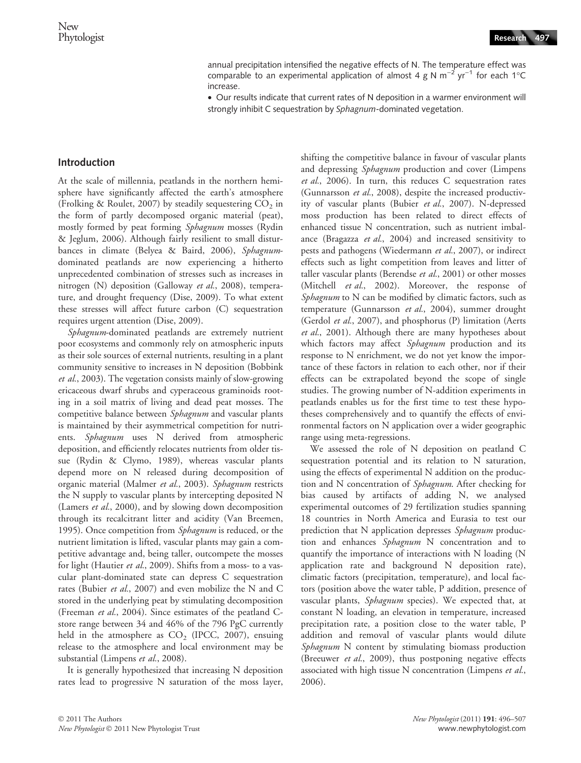annual precipitation intensified the negative effects of N. The temperature effect was comparable to an experimental application of almost 4 g N m<sup>-2</sup> yr<sup>-1</sup> for each 1°C increase.

• Our results indicate that current rates of N deposition in a warmer environment will strongly inhibit C sequestration by Sphagnum-dominated vegetation.

## Introduction

At the scale of millennia, peatlands in the northern hemisphere have significantly affected the earth's atmosphere (Frolking & Roulet, 2007) by steadily sequestering  $CO<sub>2</sub>$  in the form of partly decomposed organic material (peat), mostly formed by peat forming Sphagnum mosses (Rydin & Jeglum, 2006). Although fairly resilient to small disturbances in climate (Belyea & Baird, 2006), Sphagnumdominated peatlands are now experiencing a hitherto unprecedented combination of stresses such as increases in nitrogen (N) deposition (Galloway et al., 2008), temperature, and drought frequency (Dise, 2009). To what extent these stresses will affect future carbon (C) sequestration requires urgent attention (Dise, 2009).

Sphagnum-dominated peatlands are extremely nutrient poor ecosystems and commonly rely on atmospheric inputs as their sole sources of external nutrients, resulting in a plant community sensitive to increases in N deposition (Bobbink et al., 2003). The vegetation consists mainly of slow-growing ericaceous dwarf shrubs and cyperaceous graminoids rooting in a soil matrix of living and dead peat mosses. The competitive balance between *Sphagnum* and vascular plants is maintained by their asymmetrical competition for nutrients. Sphagnum uses N derived from atmospheric deposition, and efficiently relocates nutrients from older tissue (Rydin & Clymo, 1989), whereas vascular plants depend more on N released during decomposition of organic material (Malmer et al., 2003). Sphagnum restricts the N supply to vascular plants by intercepting deposited N (Lamers et al., 2000), and by slowing down decomposition through its recalcitrant litter and acidity (Van Breemen, 1995). Once competition from *Sphagnum* is reduced, or the nutrient limitation is lifted, vascular plants may gain a competitive advantage and, being taller, outcompete the mosses for light (Hautier et al., 2009). Shifts from a moss- to a vascular plant-dominated state can depress C sequestration rates (Bubier et al., 2007) and even mobilize the N and C stored in the underlying peat by stimulating decomposition (Freeman et al., 2004). Since estimates of the peatland Cstore range between 34 and 46% of the 796 PgC currently held in the atmosphere as  $CO<sub>2</sub>$  (IPCC, 2007), ensuing release to the atmosphere and local environment may be substantial (Limpens et al., 2008).

It is generally hypothesized that increasing N deposition rates lead to progressive N saturation of the moss layer, shifting the competitive balance in favour of vascular plants and depressing Sphagnum production and cover (Limpens et al., 2006). In turn, this reduces C sequestration rates (Gunnarsson et al., 2008), despite the increased productivity of vascular plants (Bubier et al., 2007). N-depressed moss production has been related to direct effects of enhanced tissue N concentration, such as nutrient imbalance (Bragazza et al., 2004) and increased sensitivity to pests and pathogens (Wiedermann et al., 2007), or indirect effects such as light competition from leaves and litter of taller vascular plants (Berendse et al., 2001) or other mosses (Mitchell et al., 2002). Moreover, the response of  $Sphagnum$  to  $N$  can be modified by climatic factors, such as temperature (Gunnarsson et al., 2004), summer drought (Gerdol et al., 2007), and phosphorus (P) limitation (Aerts et al., 2001). Although there are many hypotheses about which factors may affect Sphagnum production and its response to N enrichment, we do not yet know the importance of these factors in relation to each other, nor if their effects can be extrapolated beyond the scope of single studies. The growing number of N-addition experiments in peatlands enables us for the first time to test these hypotheses comprehensively and to quantify the effects of environmental factors on N application over a wider geographic range using meta-regressions.

We assessed the role of N deposition on peatland C sequestration potential and its relation to N saturation, using the effects of experimental N addition on the production and N concentration of Sphagnum. After checking for bias caused by artifacts of adding N, we analysed experimental outcomes of 29 fertilization studies spanning 18 countries in North America and Eurasia to test our prediction that N application depresses Sphagnum production and enhances Sphagnum N concentration and to quantify the importance of interactions with N loading (N application rate and background N deposition rate), climatic factors (precipitation, temperature), and local factors (position above the water table, P addition, presence of vascular plants, Sphagnum species). We expected that, at constant N loading, an elevation in temperature, increased precipitation rate, a position close to the water table, P addition and removal of vascular plants would dilute Sphagnum N content by stimulating biomass production (Breeuwer et al., 2009), thus postponing negative effects associated with high tissue N concentration (Limpens et al., 2006).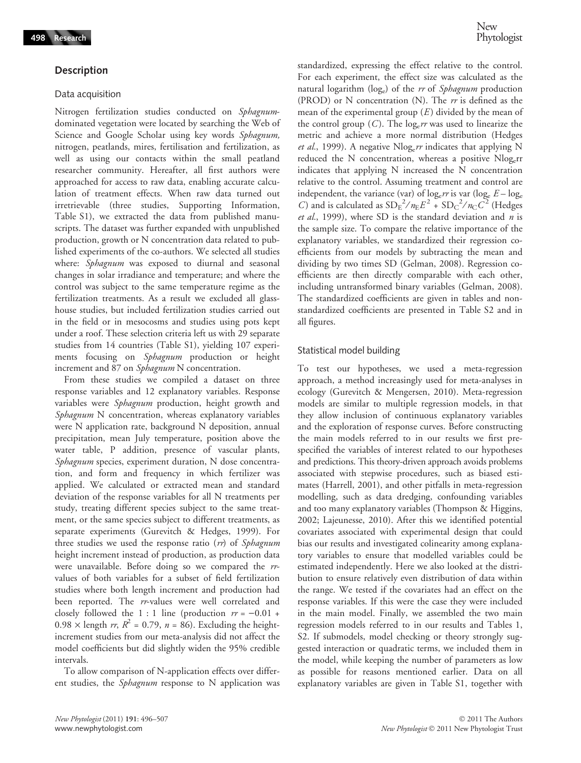## Description

#### Data acquisition

Nitrogen fertilization studies conducted on Sphagnumdominated vegetation were located by searching the Web of Science and Google Scholar using key words Sphagnum, nitrogen, peatlands, mires, fertilisation and fertilization, as well as using our contacts within the small peatland researcher community. Hereafter, all first authors were approached for access to raw data, enabling accurate calculation of treatment effects. When raw data turned out irretrievable (three studies, Supporting Information, Table S1), we extracted the data from published manuscripts. The dataset was further expanded with unpublished production, growth or N concentration data related to published experiments of the co-authors. We selected all studies where: Sphagnum was exposed to diurnal and seasonal changes in solar irradiance and temperature; and where the control was subject to the same temperature regime as the fertilization treatments. As a result we excluded all glasshouse studies, but included fertilization studies carried out in the field or in mesocosms and studies using pots kept under a roof. These selection criteria left us with 29 separate studies from 14 countries (Table S1), yielding 107 experiments focusing on Sphagnum production or height increment and 87 on Sphagnum N concentration.

From these studies we compiled a dataset on three response variables and 12 explanatory variables. Response variables were Sphagnum production, height growth and Sphagnum N concentration, whereas explanatory variables were N application rate, background N deposition, annual precipitation, mean July temperature, position above the water table, P addition, presence of vascular plants, Sphagnum species, experiment duration, N dose concentration, and form and frequency in which fertilizer was applied. We calculated or extracted mean and standard deviation of the response variables for all N treatments per study, treating different species subject to the same treatment, or the same species subject to different treatments, as separate experiments (Gurevitch & Hedges, 1999). For three studies we used the response ratio (rr) of Sphagnum height increment instead of production, as production data were unavailable. Before doing so we compared the rrvalues of both variables for a subset of field fertilization studies where both length increment and production had been reported. The rr-values were well correlated and closely followed the 1 : 1 line (production  $rr = -0.01 +$  $0.98 \times$  length rr,  $R^2 = 0.79$ ,  $n = 86$ ). Excluding the heightincrement studies from our meta-analysis did not affect the model coefficients but did slightly widen the 95% credible intervals.

To allow comparison of N-application effects over different studies, the Sphagnum response to N application was standardized, expressing the effect relative to the control. For each experiment, the effect size was calculated as the natural logarithm ( $log_e$ ) of the *rr* of *Sphagnum* production (PROD) or N concentration (N). The rr is defined as the mean of the experimental group  $(E)$  divided by the mean of the control group  $(C)$ . The log<sub>e</sub>r was used to linearize the metric and achieve a more normal distribution (Hedges et al., 1999). A negative N $\log_e rr$  indicates that applying N reduced the N concentration, whereas a positive Nloger indicates that applying N increased the N concentration relative to the control. Assuming treatment and control are independent, the variance (var) of  $\log_e rr$  is var ( $\log_e E - \log_e$ C) and is calculated as  $SD_E^2/n_E^2 + SD_C^2/n_C^2$  (Hedges et al., 1999), where SD is the standard deviation and  $n$  is the sample size. To compare the relative importance of the explanatory variables, we standardized their regression coefficients from our models by subtracting the mean and dividing by two times SD (Gelman, 2008). Regression coefficients are then directly comparable with each other, including untransformed binary variables (Gelman, 2008). The standardized coefficients are given in tables and nonstandardized coefficients are presented in Table S2 and in all figures.

#### Statistical model building

To test our hypotheses, we used a meta-regression approach, a method increasingly used for meta-analyses in ecology (Gurevitch & Mengersen, 2010). Meta-regression models are similar to multiple regression models, in that they allow inclusion of continuous explanatory variables and the exploration of response curves. Before constructing the main models referred to in our results we first prespecified the variables of interest related to our hypotheses and predictions. This theory-driven approach avoids problems associated with stepwise procedures, such as biased estimates (Harrell, 2001), and other pitfalls in meta-regression modelling, such as data dredging, confounding variables and too many explanatory variables (Thompson & Higgins, 2002; Lajeunesse, 2010). After this we identified potential covariates associated with experimental design that could bias our results and investigated colinearity among explanatory variables to ensure that modelled variables could be estimated independently. Here we also looked at the distribution to ensure relatively even distribution of data within the range. We tested if the covariates had an effect on the response variables. If this were the case they were included in the main model. Finally, we assembled the two main regression models referred to in our results and Tables 1, S2. If submodels, model checking or theory strongly suggested interaction or quadratic terms, we included them in the model, while keeping the number of parameters as low as possible for reasons mentioned earlier. Data on all explanatory variables are given in Table S1, together with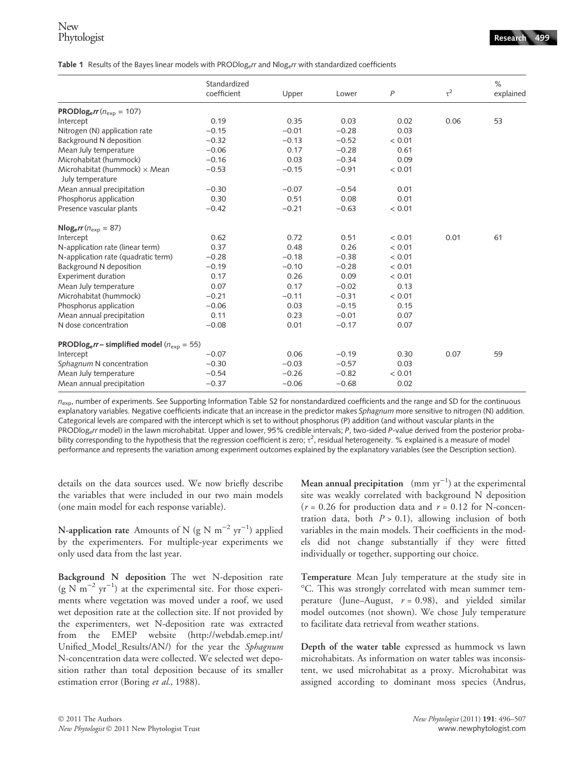Table 1 Results of the Bayes linear models with PRODlog<sub>e</sub>r and Nlog<sub>e</sub>r with standardized coefficients

|                                                                 | Standardized<br>coefficient | Upper   | Lower   | $\overline{P}$ | $\tau^2$ | $\%$<br>explained |
|-----------------------------------------------------------------|-----------------------------|---------|---------|----------------|----------|-------------------|
|                                                                 |                             |         |         |                |          |                   |
| PRODlog <sub>e</sub> $rr(n_{exp} = 107)$                        |                             |         |         |                |          |                   |
| Intercept                                                       | 0.19                        | 0.35    | 0.03    | 0.02           | 0.06     | 53                |
| Nitrogen (N) application rate                                   | $-0.15$                     | $-0.01$ | $-0.28$ | 0.03           |          |                   |
| Background N deposition                                         | $-0.32$                     | $-0.13$ | $-0.52$ | < 0.01         |          |                   |
| Mean July temperature                                           | $-0.06$                     | 0.17    | $-0.28$ | 0.61           |          |                   |
| Microhabitat (hummock)                                          | $-0.16$                     | 0.03    | $-0.34$ | 0.09           |          |                   |
| Microhabitat (hummock) $\times$ Mean                            | $-0.53$                     | $-0.15$ | $-0.91$ | < 0.01         |          |                   |
| July temperature                                                | $-0.30$                     | $-0.07$ | $-0.54$ | 0.01           |          |                   |
| Mean annual precipitation                                       | 0.30                        | 0.51    | 0.08    | 0.01           |          |                   |
| Phosphorus application                                          |                             |         |         |                |          |                   |
| Presence vascular plants                                        | $-0.42$                     | $-0.21$ | $-0.63$ | < 0.01         |          |                   |
| $Nlog_e rr (n_{exp} = 87)$                                      |                             |         |         |                |          |                   |
| Intercept                                                       | 0.62                        | 0.72    | 0.51    | < 0.01         | 0.01     | 61                |
| N-application rate (linear term)                                | 0.37                        | 0.48    | 0.26    | < 0.01         |          |                   |
| N-application rate (quadratic term)                             | $-0.28$                     | $-0.18$ | $-0.38$ | < 0.01         |          |                   |
| Background N deposition                                         | $-0.19$                     | $-0.10$ | $-0.28$ | < 0.01         |          |                   |
| <b>Experiment duration</b>                                      | 0.17                        | 0.26    | 0.09    | < 0.01         |          |                   |
| Mean July temperature                                           | 0.07                        | 0.17    | $-0.02$ | 0.13           |          |                   |
| Microhabitat (hummock)                                          | $-0.21$                     | $-0.11$ | $-0.31$ | < 0.01         |          |                   |
| Phosphorus application                                          | $-0.06$                     | 0.03    | $-0.15$ | 0.15           |          |                   |
| Mean annual precipitation                                       | 0.11                        | 0.23    | $-0.01$ | 0.07           |          |                   |
| N dose concentration                                            | $-0.08$                     | 0.01    | $-0.17$ | 0.07           |          |                   |
| PRODlog <sub>e</sub> r - simplified model ( $n_{\rm exp}$ = 55) |                             |         |         |                |          |                   |
| Intercept                                                       | $-0.07$                     | 0.06    | $-0.19$ | 0.30           | 0.07     | 59                |
| Sphagnum N concentration                                        | $-0.30$                     | $-0.03$ | $-0.57$ | 0.03           |          |                   |
| Mean July temperature                                           | $-0.54$                     | $-0.26$ | $-0.82$ | < 0.01         |          |                   |
| Mean annual precipitation                                       | $-0.37$                     | $-0.06$ | $-0.68$ | 0.02           |          |                   |

 $n_{\rm exp}$ , number of experiments. See Supporting Information Table S2 for nonstandardized coefficients and the range and SD for the continuous explanatory variables. Negative coefficients indicate that an increase in the predictor makes Sphagnum more sensitive to nitrogen (N) addition. Categorical levels are compared with the intercept which is set to without phosphorus (P) addition (and without vascular plants in the PRODlog<sub>e</sub>rr model) in the lawn microhabitat. Upper and lower, 95% credible intervals; P, two-sided P-value derived from the posterior probability corresponding to the hypothesis that the regression coefficient is zero;  $\tau^2$ , residual heterogeneity. % explained is a measure of model performance and represents the variation among experiment outcomes explained by the explanatory variables (see the Description section).

details on the data sources used. We now briefly describe the variables that were included in our two main models (one main model for each response variable).

N-application rate Amounts of N (g N  $\mathrm{m}^{-2}$  yr<sup>-1</sup>) applied by the experimenters. For multiple-year experiments we only used data from the last year.

Background N deposition The wet N-deposition rate  $(g N m^{-2} yr^{-1})$  at the experimental site. For those experiments where vegetation was moved under a roof, we used wet deposition rate at the collection site. If not provided by the experimenters, wet N-deposition rate was extracted from the EMEP website (http://webdab.emep.int/ Unified\_Model\_Results/AN/) for the year the Sphagnum N-concentration data were collected. We selected wet deposition rather than total deposition because of its smaller estimation error (Boring et al., 1988).

Mean annual precipitation  $\pmod{yr^{-1}}$  at the experimental site was weakly correlated with background N deposition  $(r = 0.26$  for production data and  $r = 0.12$  for N-concentration data, both  $P > 0.1$ ), allowing inclusion of both variables in the main models. Their coefficients in the models did not change substantially if they were fitted individually or together, supporting our choice.

Temperature Mean July temperature at the study site in C. This was strongly correlated with mean summer temperature (June–August,  $r = 0.98$ ), and yielded similar model outcomes (not shown). We chose July temperature to facilitate data retrieval from weather stations.

Depth of the water table expressed as hummock vs lawn microhabitats. As information on water tables was inconsistent, we used microhabitat as a proxy. Microhabitat was assigned according to dominant moss species (Andrus,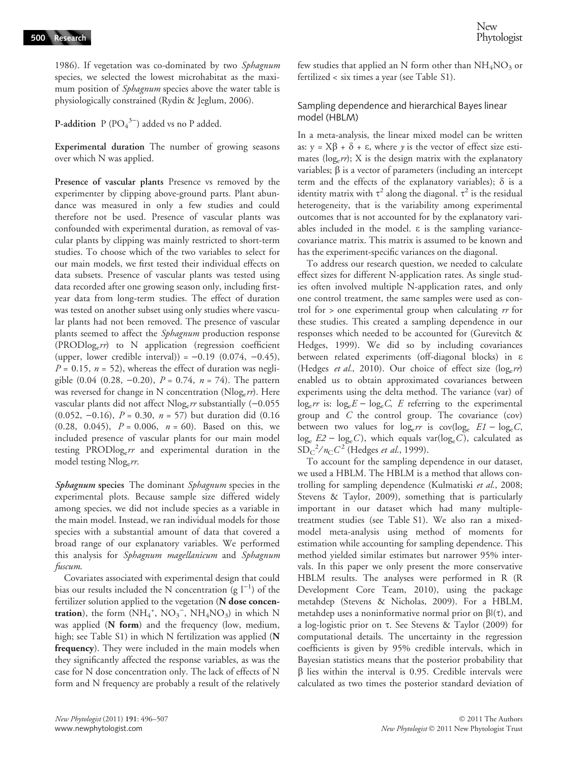1986). If vegetation was co-dominated by two Sphagnum species, we selected the lowest microhabitat as the maximum position of *Sphagnum* species above the water table is physiologically constrained (Rydin & Jeglum, 2006).

**P-addition**  $P (PO<sub>4</sub><sup>3-</sup>)$  added vs no P added.

Experimental duration The number of growing seasons over which N was applied.

Presence of vascular plants Presence vs removed by the experimenter by clipping above-ground parts. Plant abundance was measured in only a few studies and could therefore not be used. Presence of vascular plants was confounded with experimental duration, as removal of vascular plants by clipping was mainly restricted to short-term studies. To choose which of the two variables to select for our main models, we first tested their individual effects on data subsets. Presence of vascular plants was tested using data recorded after one growing season only, including firstyear data from long-term studies. The effect of duration was tested on another subset using only studies where vascular plants had not been removed. The presence of vascular plants seemed to affect the Sphagnum production response  $(PRODlog_e rr)$  to N application (regression coefficient (upper, lower credible interval)) =  $-0.19$  (0.074,  $-0.45$ ),  $P = 0.15$ ,  $n = 52$ ), whereas the effect of duration was negligible  $(0.04 (0.28, -0.20), P = 0.74, n = 74)$ . The pattern was reversed for change in N concentration ( $Nlog_e rr$ ). Here vascular plants did not affect  $Nlog_e rr$  substantially (-0.055) (0.052, -0.16),  $P = 0.30$ ,  $n = 57$ ) but duration did (0.16)  $(0.28, 0.045), P = 0.006, n = 60$ . Based on this, we included presence of vascular plants for our main model testing PRODlog<sub>e</sub> $rr$  and experimental duration in the model testing  $Nlog_e rr$ .

Sphagnum species The dominant Sphagnum species in the experimental plots. Because sample size differed widely among species, we did not include species as a variable in the main model. Instead, we ran individual models for those species with a substantial amount of data that covered a broad range of our explanatory variables. We performed this analysis for Sphagnum magellanicum and Sphagnum fuscum.

Covariates associated with experimental design that could bias our results included the N concentration (g  $l^{-1}$ ) of the fertilizer solution applied to the vegetation (N dose concentration), the form  $(NH_4^*$ ,  $NO_3^-$ ,  $NH_4NO_3)$  in which N was applied (N form) and the frequency (low, medium, high; see Table S1) in which N fertilization was applied (N frequency). They were included in the main models when they significantly affected the response variables, as was the case for N dose concentration only. The lack of effects of N form and N frequency are probably a result of the relatively few studies that applied an N form other than  $NH<sub>4</sub>NO<sub>3</sub>$  or fertilized < six times a year (see Table S1).

## Sampling dependence and hierarchical Bayes linear model (HBLM)

In a meta-analysis, the linear mixed model can be written as:  $y = X\beta + \delta + \varepsilon$ , where y is the vector of effect size estimates ( $log_e rr$ ); X is the design matrix with the explanatory variables;  $\beta$  is a vector of parameters (including an intercept term and the effects of the explanatory variables);  $\delta$  is a identity matrix with  $\tau^2$  along the diagonal.  $\tau^2$  is the residual heterogeneity, that is the variability among experimental outcomes that is not accounted for by the explanatory variables included in the model.  $\varepsilon$  is the sampling variancecovariance matrix. This matrix is assumed to be known and has the experiment-specific variances on the diagonal.

To address our research question, we needed to calculate effect sizes for different N-application rates. As single studies often involved multiple N-application rates, and only one control treatment, the same samples were used as control for  $>$  one experimental group when calculating  $rr$  for these studies. This created a sampling dependence in our responses which needed to be accounted for (Gurevitch & Hedges, 1999). We did so by including covariances between related experiments (off-diagonal blocks) in e (Hedges et al., 2010). Our choice of effect size ( $log_e rr$ ) enabled us to obtain approximated covariances between experiments using the delta method. The variance (var) of  $log_e rr$  is:  $log_e E - log_e C$ , E referring to the experimental group and C the control group. The covariance (cov) between two values for  $\log_e rr$  is  $\text{cov}(\log_e EL - \log_e C,$  $log_e E2 - log_e C$ ), which equals var(log<sub>e</sub>C), calculated as  $\widetilde{\text{SD}}_{\text{C}}^2/n_{\text{C}}C^2$  (Hedges *et al.*, 1999).

To account for the sampling dependence in our dataset, we used a HBLM. The HBLM is a method that allows controlling for sampling dependence (Kulmatiski et al., 2008; Stevens & Taylor, 2009), something that is particularly important in our dataset which had many multipletreatment studies (see Table S1). We also ran a mixedmodel meta-analysis using method of moments for estimation while accounting for sampling dependence. This method yielded similar estimates but narrower 95% intervals. In this paper we only present the more conservative HBLM results. The analyses were performed in R (R Development Core Team, 2010), using the package metahdep (Stevens & Nicholas, 2009). For a HBLM, metahdep uses a noninformative normal prior on  $\beta$  $(\tau)$ , and a log-logistic prior on  $\tau$ . See Stevens & Taylor (2009) for computational details. The uncertainty in the regression coefficients is given by 95% credible intervals, which in Bayesian statistics means that the posterior probability that  $\beta$  lies within the interval is 0.95. Credible intervals were calculated as two times the posterior standard deviation of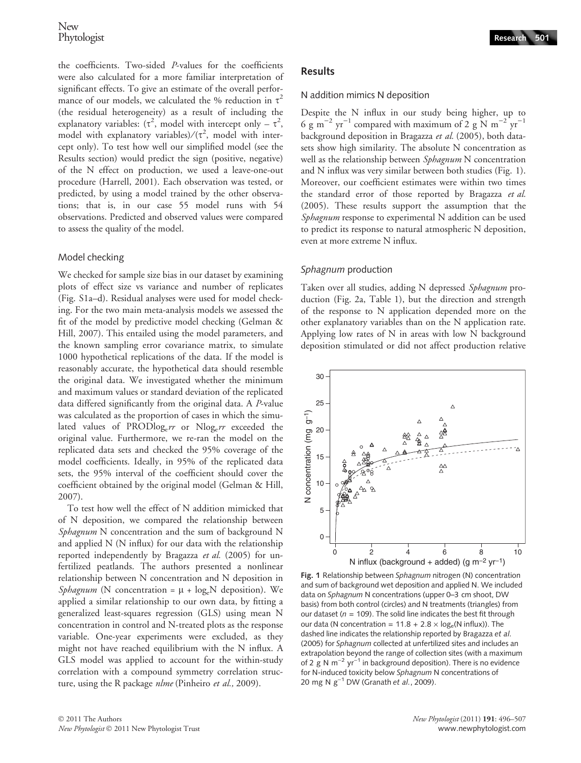the coefficients. Two-sided P-values for the coefficients were also calculated for a more familiar interpretation of significant effects. To give an estimate of the overall performance of our models, we calculated the % reduction in  $\tau^2$ (the residual heterogeneity) as a result of including the explanatory variables:  $(\tau^2$ , model with intercept only –  $\tau^2$ , model with explanatory variables) $/(\tau^2$ , model with intercept only). To test how well our simplified model (see the Results section) would predict the sign (positive, negative) of the N effect on production, we used a leave-one-out procedure (Harrell, 2001). Each observation was tested, or predicted, by using a model trained by the other observations; that is, in our case 55 model runs with 54 observations. Predicted and observed values were compared to assess the quality of the model.

#### Model checking

We checked for sample size bias in our dataset by examining plots of effect size vs variance and number of replicates (Fig. S1a–d). Residual analyses were used for model checking. For the two main meta-analysis models we assessed the fit of the model by predictive model checking (Gelman & Hill, 2007). This entailed using the model parameters, and the known sampling error covariance matrix, to simulate 1000 hypothetical replications of the data. If the model is reasonably accurate, the hypothetical data should resemble the original data. We investigated whether the minimum and maximum values or standard deviation of the replicated data differed significantly from the original data. A P-value was calculated as the proportion of cases in which the simulated values of PRODlog<sub>e</sub> $rr$  or Nlog<sub>e</sub> $rr$  exceeded the original value. Furthermore, we re-ran the model on the replicated data sets and checked the 95% coverage of the model coefficients. Ideally, in 95% of the replicated data sets, the 95% interval of the coefficient should cover the coefficient obtained by the original model (Gelman & Hill, 2007).

To test how well the effect of N addition mimicked that of N deposition, we compared the relationship between Sphagnum N concentration and the sum of background N and applied N (N influx) for our data with the relationship reported independently by Bragazza et al. (2005) for unfertilized peatlands. The authors presented a nonlinear relationship between N concentration and N deposition in Sphagnum (N concentration =  $\mu$  + log<sub>e</sub>N deposition). We applied a similar relationship to our own data, by fitting a generalized least-squares regression (GLS) using mean N concentration in control and N-treated plots as the response variable. One-year experiments were excluded, as they might not have reached equilibrium with the N influx. A GLS model was applied to account for the within-study correlation with a compound symmetry correlation structure, using the R package *nlme* (Pinheiro et al., 2009).

## Results

#### N addition mimics N deposition

Despite the N influx in our study being higher, up to 6 g m<sup>-2</sup> yr<sup>-1</sup> compared with maximum of 2 g N m<sup>-2</sup> yr<sup>-1</sup> background deposition in Bragazza et al. (2005), both datasets show high similarity. The absolute N concentration as well as the relationship between Sphagnum N concentration and N influx was very similar between both studies (Fig. 1). Moreover, our coefficient estimates were within two times the standard error of those reported by Bragazza et al. (2005). These results support the assumption that the Sphagnum response to experimental N addition can be used to predict its response to natural atmospheric N deposition, even at more extreme N influx.

#### Sphagnum production

Taken over all studies, adding N depressed Sphagnum production (Fig. 2a, Table 1), but the direction and strength of the response to N application depended more on the other explanatory variables than on the N application rate. Applying low rates of N in areas with low N background deposition stimulated or did not affect production relative



Fig. 1 Relationship between Sphagnum nitrogen (N) concentration and sum of background wet deposition and applied N. We included data on Sphagnum N concentrations (upper 0–3 cm shoot, DW basis) from both control (circles) and N treatments (triangles) from our dataset ( $n = 109$ ). The solid line indicates the best fit through our data (N concentration =  $11.8 + 2.8 \times \log_e(N \text{ influx})$ ). The dashed line indicates the relationship reported by Bragazza et al. (2005) for Sphagnum collected at unfertilized sites and includes an extrapolation beyond the range of collection sites (with a maximum of 2 g N  $m^{-2}$  yr<sup>-1</sup> in background deposition). There is no evidence for N-induced toxicity below Sphagnum N concentrations of 20 mg N  $g^{-1}$  DW (Granath et al., 2009).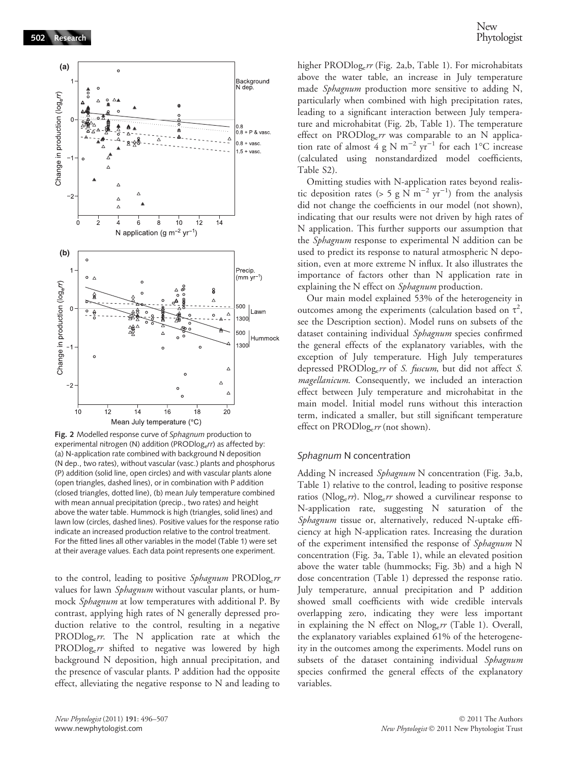

Fig. 2 Modelled response curve of Sphagnum production to experimental nitrogen (N) addition (PRODlog<sub>e</sub>rr) as affected by: (a) N-application rate combined with background N deposition (N dep., two rates), without vascular (vasc.) plants and phosphorus (P) addition (solid line, open circles) and with vascular plants alone (open triangles, dashed lines), or in combination with P addition (closed triangles, dotted line), (b) mean July temperature combined with mean annual precipitation (precip., two rates) and height above the water table. Hummock is high (triangles, solid lines) and lawn low (circles, dashed lines). Positive values for the response ratio indicate an increased production relative to the control treatment. For the fitted lines all other variables in the model (Table 1) were set at their average values. Each data point represents one experiment.

to the control, leading to positive  $Sphagnum$  PRODlog<sub>e</sub> $rr$ values for lawn Sphagnum without vascular plants, or hummock Sphagnum at low temperatures with additional P. By contrast, applying high rates of N generally depressed production relative to the control, resulting in a negative PRODlog<sub>e</sub>rr. The N application rate at which the  $PRODlog<sub>e</sub>rr$  shifted to negative was lowered by high background N deposition, high annual precipitation, and the presence of vascular plants. P addition had the opposite effect, alleviating the negative response to N and leading to

higher PROD $log_e rr$  (Fig. 2a,b, Table 1). For microhabitats above the water table, an increase in July temperature made *Sphagnum* production more sensitive to adding N, particularly when combined with high precipitation rates, leading to a significant interaction between July temperature and microhabitat (Fig. 2b, Table 1). The temperature effect on PRODlog<sub>e</sub> $rr$  was comparable to an N application rate of almost 4 g N m<sup>-2</sup> yr<sup>-1</sup> for each 1°C increase (calculated using nonstandardized model coefficients, Table S2).

Omitting studies with N-application rates beyond realistic deposition rates (> 5 g N m<sup>-2</sup> yr<sup>-1</sup>) from the analysis did not change the coefficients in our model (not shown), indicating that our results were not driven by high rates of N application. This further supports our assumption that the Sphagnum response to experimental N addition can be used to predict its response to natural atmospheric N deposition, even at more extreme N influx. It also illustrates the importance of factors other than N application rate in explaining the N effect on *Sphagnum* production.

Our main model explained 53% of the heterogeneity in outcomes among the experiments (calculation based on  $\tau^2$ , see the Description section). Model runs on subsets of the dataset containing individual Sphagnum species confirmed the general effects of the explanatory variables, with the exception of July temperature. High July temperatures depressed PRODlog<sub>e</sub>r of S. fuscum, but did not affect S. magellanicum. Consequently, we included an interaction effect between July temperature and microhabitat in the main model. Initial model runs without this interaction term, indicated a smaller, but still significant temperature effect on  $PRODlog_e rr$  (not shown).

#### Sphagnum N concentration

Adding N increased Sphagnum N concentration (Fig. 3a,b, Table 1) relative to the control, leading to positive response ratios (Nlog<sub>e</sub> $rr$ ). Nlog<sub>e</sub> $rr$  showed a curvilinear response to N-application rate, suggesting N saturation of the Sphagnum tissue or, alternatively, reduced N-uptake efficiency at high N-application rates. Increasing the duration of the experiment intensified the response of Sphagnum N concentration (Fig. 3a, Table 1), while an elevated position above the water table (hummocks; Fig. 3b) and a high N dose concentration (Table 1) depressed the response ratio. July temperature, annual precipitation and P addition showed small coefficients with wide credible intervals overlapping zero, indicating they were less important in explaining the N effect on  $Nlog_e rr$  (Table 1). Overall, the explanatory variables explained 61% of the heterogeneity in the outcomes among the experiments. Model runs on subsets of the dataset containing individual Sphagnum species confirmed the general effects of the explanatory variables.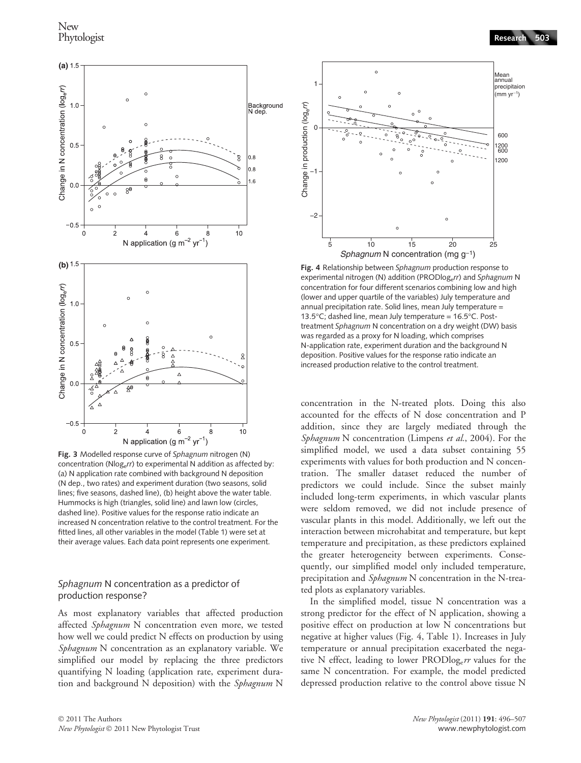

Fig. 3 Modelled response curve of Sphagnum nitrogen (N) concentration (Nlogerr) to experimental N addition as affected by: (a) N application rate combined with background N deposition (N dep., two rates) and experiment duration (two seasons, solid lines; five seasons, dashed line), (b) height above the water table. Hummocks is high (triangles, solid line) and lawn low (circles, dashed line). Positive values for the response ratio indicate an increased N concentration relative to the control treatment. For the fitted lines, all other variables in the model (Table 1) were set at their average values. Each data point represents one experiment.

#### Sphagnum N concentration as a predictor of production response?

As most explanatory variables that affected production affected Sphagnum N concentration even more, we tested how well we could predict N effects on production by using Sphagnum N concentration as an explanatory variable. We simplified our model by replacing the three predictors quantifying N loading (application rate, experiment duration and background N deposition) with the Sphagnum N



Fig. 4 Relationship between Sphagnum production response to experimental nitrogen (N) addition (PRODlog<sub>e</sub>rr) and Sphagnum N concentration for four different scenarios combining low and high (lower and upper quartile of the variables) July temperature and annual precipitation rate. Solid lines, mean July temperature = 13.5°C; dashed line, mean July temperature = 16.5°C. Posttreatment Sphagnum N concentration on a dry weight (DW) basis was regarded as a proxy for N loading, which comprises N-application rate, experiment duration and the background N deposition. Positive values for the response ratio indicate an increased production relative to the control treatment.

concentration in the N-treated plots. Doing this also accounted for the effects of N dose concentration and P addition, since they are largely mediated through the Sphagnum N concentration (Limpens et al., 2004). For the simplified model, we used a data subset containing 55 experiments with values for both production and N concentration. The smaller dataset reduced the number of predictors we could include. Since the subset mainly included long-term experiments, in which vascular plants were seldom removed, we did not include presence of vascular plants in this model. Additionally, we left out the interaction between microhabitat and temperature, but kept temperature and precipitation, as these predictors explained the greater heterogeneity between experiments. Consequently, our simplified model only included temperature, precipitation and Sphagnum N concentration in the N-treated plots as explanatory variables.

In the simplified model, tissue N concentration was a strong predictor for the effect of N application, showing a positive effect on production at low N concentrations but negative at higher values (Fig. 4, Table 1). Increases in July temperature or annual precipitation exacerbated the negative N effect, leading to lower  $PRODlog_e rr$  values for the same N concentration. For example, the model predicted depressed production relative to the control above tissue N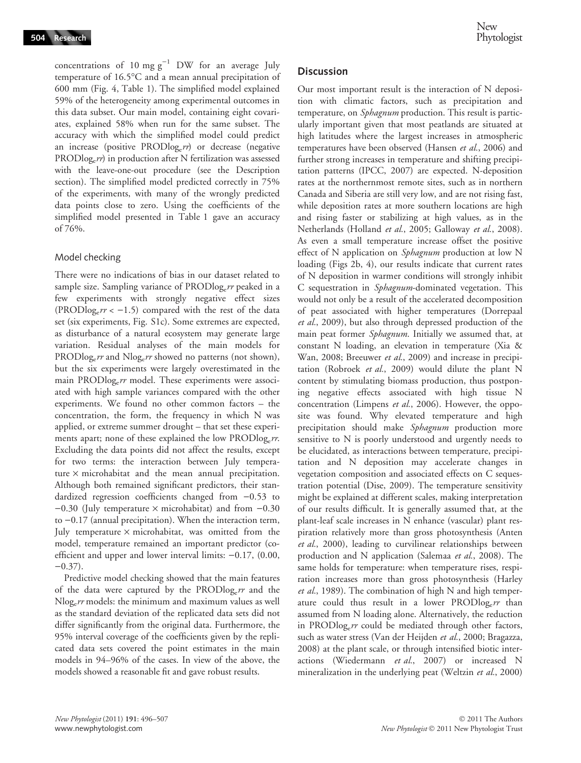concentrations of 10 mg  $g^{-1}$  DW for an average July temperature of 16.5°C and a mean annual precipitation of 600 mm (Fig. 4, Table 1). The simplified model explained 59% of the heterogeneity among experimental outcomes in this data subset. Our main model, containing eight covariates, explained 58% when run for the same subset. The accuracy with which the simplified model could predict an increase (positive  $PRODlog_e rr$ ) or decrease (negative  $PRODlog<sub>e</sub>rr$ ) in production after N fertilization was assessed with the leave-one-out procedure (see the Description section). The simplified model predicted correctly in 75% of the experiments, with many of the wrongly predicted data points close to zero. Using the coefficients of the simplified model presented in Table 1 gave an accuracy of 76%.

## Model checking

There were no indications of bias in our dataset related to sample size. Sampling variance of  $PRODlog_e rr$  peaked in a few experiments with strongly negative effect sizes (PRODlog<sub>e</sub> $rr < -1.5$ ) compared with the rest of the data set (six experiments, Fig. S1c). Some extremes are expected, as disturbance of a natural ecosystem may generate large variation. Residual analyses of the main models for PRODlog<sub>e</sub>rr and Nlog<sub>e</sub>rr showed no patterns (not shown), but the six experiments were largely overestimated in the main PRODlog<sub>e</sub>rr model. These experiments were associated with high sample variances compared with the other experiments. We found no other common factors – the concentration, the form, the frequency in which N was applied, or extreme summer drought – that set these experiments apart; none of these explained the low PRODlog<sub>e</sub>rr. Excluding the data points did not affect the results, except for two terms: the interaction between July temperature  $\times$  microhabitat and the mean annual precipitation. Although both remained significant predictors, their standardized regression coefficients changed from  $-0.53$  to  $-0.30$  (July temperature  $\times$  microhabitat) and from  $-0.30$ to  $-0.17$  (annual precipitation). When the interaction term, July temperature  $\times$  microhabitat, was omitted from the model, temperature remained an important predictor (coefficient and upper and lower interval limits:  $-0.17$ , (0.00,  $-0.37$ ).

Predictive model checking showed that the main features of the data were captured by the PRODlog<sub>e</sub> $rr$  and the Nlogerr models: the minimum and maximum values as well as the standard deviation of the replicated data sets did not differ significantly from the original data. Furthermore, the 95% interval coverage of the coefficients given by the replicated data sets covered the point estimates in the main models in 94–96% of the cases. In view of the above, the models showed a reasonable fit and gave robust results.

## **Discussion**

Our most important result is the interaction of N deposition with climatic factors, such as precipitation and temperature, on *Sphagnum* production. This result is particularly important given that most peatlands are situated at high latitudes where the largest increases in atmospheric temperatures have been observed (Hansen et al., 2006) and further strong increases in temperature and shifting precipitation patterns (IPCC, 2007) are expected. N-deposition rates at the northernmost remote sites, such as in northern Canada and Siberia are still very low, and are not rising fast, while deposition rates at more southern locations are high and rising faster or stabilizing at high values, as in the Netherlands (Holland et al., 2005; Galloway et al., 2008). As even a small temperature increase offset the positive effect of N application on Sphagnum production at low N loading (Figs 2b, 4), our results indicate that current rates of N deposition in warmer conditions will strongly inhibit C sequestration in Sphagnum-dominated vegetation. This would not only be a result of the accelerated decomposition of peat associated with higher temperatures (Dorrepaal et al., 2009), but also through depressed production of the main peat former Sphagnum. Initially we assumed that, at constant N loading, an elevation in temperature (Xia & Wan, 2008; Breeuwer et al., 2009) and increase in precipitation (Robroek et al., 2009) would dilute the plant N content by stimulating biomass production, thus postponing negative effects associated with high tissue N concentration (Limpens et al., 2006). However, the opposite was found. Why elevated temperature and high precipitation should make Sphagnum production more sensitive to N is poorly understood and urgently needs to be elucidated, as interactions between temperature, precipitation and N deposition may accelerate changes in vegetation composition and associated effects on C sequestration potential (Dise, 2009). The temperature sensitivity might be explained at different scales, making interpretation of our results difficult. It is generally assumed that, at the plant-leaf scale increases in N enhance (vascular) plant respiration relatively more than gross photosynthesis (Anten et al., 2000), leading to curvilinear relationships between production and N application (Salemaa et al., 2008). The same holds for temperature: when temperature rises, respiration increases more than gross photosynthesis (Harley et al., 1989). The combination of high N and high temperature could thus result in a lower PRODlog<sub>e</sub>r than assumed from N loading alone. Alternatively, the reduction in PROD $log_e rr$  could be mediated through other factors, such as water stress (Van der Heijden et al., 2000; Bragazza, 2008) at the plant scale, or through intensified biotic interactions (Wiedermann et al., 2007) or increased N mineralization in the underlying peat (Weltzin et al., 2000)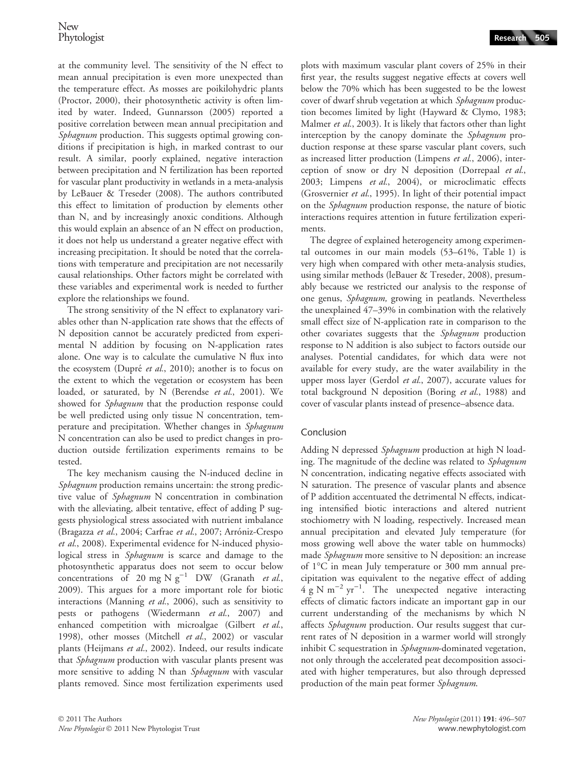at the community level. The sensitivity of the N effect to mean annual precipitation is even more unexpected than the temperature effect. As mosses are poikilohydric plants (Proctor, 2000), their photosynthetic activity is often limited by water. Indeed, Gunnarsson (2005) reported a positive correlation between mean annual precipitation and Sphagnum production. This suggests optimal growing conditions if precipitation is high, in marked contrast to our result. A similar, poorly explained, negative interaction between precipitation and N fertilization has been reported for vascular plant productivity in wetlands in a meta-analysis by LeBauer & Treseder (2008). The authors contributed this effect to limitation of production by elements other than N, and by increasingly anoxic conditions. Although this would explain an absence of an N effect on production, it does not help us understand a greater negative effect with increasing precipitation. It should be noted that the correlations with temperature and precipitation are not necessarily causal relationships. Other factors might be correlated with these variables and experimental work is needed to further explore the relationships we found.

The strong sensitivity of the N effect to explanatory variables other than N-application rate shows that the effects of N deposition cannot be accurately predicted from experimental N addition by focusing on N-application rates alone. One way is to calculate the cumulative N flux into the ecosystem (Dupré et al., 2010); another is to focus on the extent to which the vegetation or ecosystem has been loaded, or saturated, by N (Berendse et al., 2001). We showed for *Sphagnum* that the production response could be well predicted using only tissue N concentration, temperature and precipitation. Whether changes in Sphagnum N concentration can also be used to predict changes in production outside fertilization experiments remains to be tested.

The key mechanism causing the N-induced decline in Sphagnum production remains uncertain: the strong predictive value of *Sphagnum* N concentration in combination with the alleviating, albeit tentative, effect of adding P suggests physiological stress associated with nutrient imbalance (Bragazza et al., 2004; Carfrae et al., 2007; Arróniz-Crespo et al., 2008). Experimental evidence for N-induced physiological stress in *Sphagnum* is scarce and damage to the photosynthetic apparatus does not seem to occur below concentrations of 20 mg N  $g^{-1}$  DW (Granath et al., 2009). This argues for a more important role for biotic interactions (Manning et al., 2006), such as sensitivity to pests or pathogens (Wiedermann et al., 2007) and enhanced competition with microalgae (Gilbert et al., 1998), other mosses (Mitchell et al., 2002) or vascular plants (Heijmans et al., 2002). Indeed, our results indicate that Sphagnum production with vascular plants present was more sensitive to adding N than Sphagnum with vascular plants removed. Since most fertilization experiments used plots with maximum vascular plant covers of 25% in their first year, the results suggest negative effects at covers well below the 70% which has been suggested to be the lowest cover of dwarf shrub vegetation at which Sphagnum production becomes limited by light (Hayward & Clymo, 1983; Malmer et al., 2003). It is likely that factors other than light interception by the canopy dominate the *Sphagnum* production response at these sparse vascular plant covers, such as increased litter production (Limpens et al., 2006), interception of snow or dry N deposition (Dorrepaal et al., 2003; Limpens et al., 2004), or microclimatic effects (Grosvernier et al., 1995). In light of their potential impact on the Sphagnum production response, the nature of biotic interactions requires attention in future fertilization experiments.

The degree of explained heterogeneity among experimental outcomes in our main models (53–61%, Table 1) is very high when compared with other meta-analysis studies, using similar methods (leBauer & Treseder, 2008), presumably because we restricted our analysis to the response of one genus, Sphagnum, growing in peatlands. Nevertheless the unexplained 47–39% in combination with the relatively small effect size of N-application rate in comparison to the other covariates suggests that the Sphagnum production response to N addition is also subject to factors outside our analyses. Potential candidates, for which data were not available for every study, are the water availability in the upper moss layer (Gerdol et al., 2007), accurate values for total background N deposition (Boring et al., 1988) and cover of vascular plants instead of presence–absence data.

## Conclusion

Adding N depressed Sphagnum production at high N loading. The magnitude of the decline was related to Sphagnum N concentration, indicating negative effects associated with N saturation. The presence of vascular plants and absence of P addition accentuated the detrimental N effects, indicating intensified biotic interactions and altered nutrient stochiometry with N loading, respectively. Increased mean annual precipitation and elevated July temperature (for moss growing well above the water table on hummocks) made Sphagnum more sensitive to N deposition: an increase of  $1^{\circ}$ C in mean July temperature or 300 mm annual precipitation was equivalent to the negative effect of adding  $4 \text{ g N m}^{-2} \text{ yr}^{-1}$ . The unexpected negative interacting effects of climatic factors indicate an important gap in our current understanding of the mechanisms by which N affects Sphagnum production. Our results suggest that current rates of N deposition in a warmer world will strongly inhibit C sequestration in *Sphagnum*-dominated vegetation, not only through the accelerated peat decomposition associated with higher temperatures, but also through depressed production of the main peat former Sphagnum.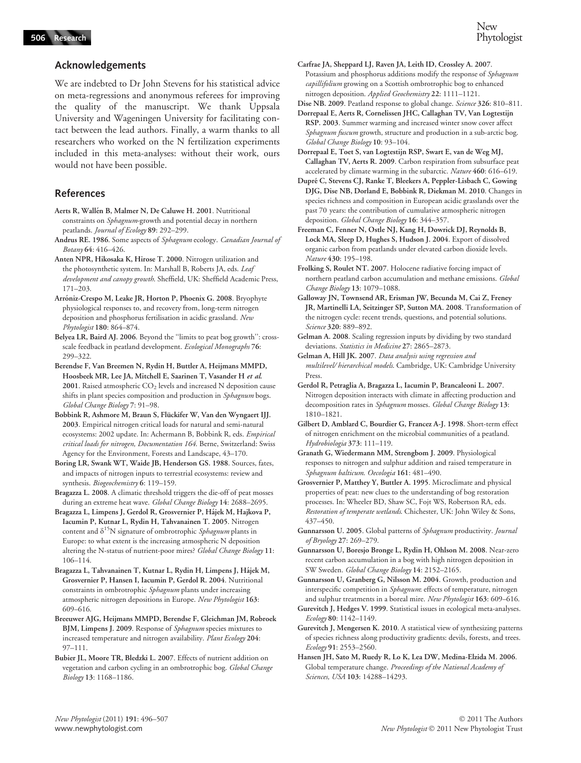We are indebted to Dr John Stevens for his statistical advice on meta-regressions and anonymous referees for improving the quality of the manuscript. We thank Uppsala University and Wageningen University for facilitating contact between the lead authors. Finally, a warm thanks to all researchers who worked on the N fertilization experiments included in this meta-analyses: without their work, ours would not have been possible.

## References

- Aerts R, Wallén B, Malmer N, De Caluwe H. 2001. Nutritional constraints on Sphagnum-growth and potential decay in northern peatlands. Journal of Ecology 89: 292–299.
- Andrus RE. 1986. Some aspects of Sphagnum ecology. Canadian Journal of Botany 64: 416–426.
- Anten NPR, Hikosaka K, Hirose T. 2000. Nitrogen utilization and the photosynthetic system. In: Marshall B, Roberts JA, eds. Leaf development and canopy growth. Sheffield, UK: Sheffield Academic Press, 171–203.
- Arróniz-Crespo M, Leake JR, Horton P, Phoenix G. 2008. Bryophyte physiological responses to, and recovery from, long-term nitrogen deposition and phosphorus fertilisation in acidic grassland. New Phytologist 180: 864–874.

Belyea LR, Baird AJ. 2006. Beyond the ''limits to peat bog growth'': crossscale feedback in peatland development. Ecological Monographs 76: 299–322.

Berendse F, Van Breemen N, Rydin H, Buttler A, Heijmans MMPD, Hoosbeek MR, Lee JA, Mitchell E, Saarinen T, Vasander H et al. 2001. Raised atmospheric CO<sub>2</sub> levels and increased N deposition cause shifts in plant species composition and production in Sphagnum bogs. Global Change Biology 7: 91–98.

- Bobbink R, Ashmore M, Braun S, Flückifer W, Van den Wyngaert IJJ. 2003. Empirical nitrogen critical loads for natural and semi-natural ecosystems: 2002 update. In: Achermann B, Bobbink R, eds. Empirical critical loads for nitrogen, Documentation 164. Berne, Switzerland: Swiss Agency for the Environment, Forests and Landscape, 43–170.
- Boring LR, Swank WT, Waide JB, Henderson GS. 1988. Sources, fates, and impacts of nitrogen inputs to terrestrial ecosystems: review and synthesis. Biogeochemistry 6: 119-159.

Bragazza L. 2008. A climatic threshold triggers the die-off of peat mosses during an extreme heat wave. Global Change Biology 14: 2688–2695.

Bragazza L, Limpens J, Gerdol R, Grosvernier P, Hájek M, Hajkova P, Iacumin P, Kutnar L, Rydin H, Tahvanainen T. 2005. Nitrogen content and  $\delta^{15}N$  signature of ombrotrophic *Sphagnum* plants in Europe: to what extent is the increasing atmospheric N deposition altering the N-status of nutrient-poor mires? Global Change Biology 11: 106–114.

Bragazza L, Tahvanainen T, Kutnar L, Rydin H, Limpens J, Ha´jek M, Grosvernier P, Hansen I, Iacumin P, Gerdol R. 2004. Nutritional constraints in ombrotrophic Sphagnum plants under increasing atmospheric nitrogen depositions in Europe. New Phytologist 163: 609–616.

Breeuwer AJG, Heijmans MMPD, Berendse F, Gleichman JM, Robroek BJM, Limpens J. 2009. Response of Sphagnum species mixtures to increased temperature and nitrogen availability. Plant Ecology 204: 97–111.

Bubier JL, Moore TR, Bledzki L. 2007. Effects of nutrient addition on vegetation and carbon cycling in an ombrotrophic bog. Global Change Biology 13: 1168–1186.

Carfrae JA, Sheppard LJ, Raven JA, Leith ID, Crossley A. 2007. Potassium and phosphorus additions modify the response of Sphagnum capillifolium growing on a Scottish ombrotrophic bog to enhanced nitrogen deposition. Applied Geochemistry 22: 1111–1121.

Dise NB. 2009. Peatland response to global change. Science 326: 810-811. Dorrepaal E, Aerts R, Cornelissen JHC, Callaghan TV, Van Logtestijn

RSP. 2003. Summer warming and increased winter snow cover affect Sphagnum fuscum growth, structure and production in a sub-arctic bog. Global Change Biology 10: 93–104.

Dorrepaal E, Toet S, van Logtestijn RSP, Swart E, van de Weg MJ, Callaghan TV, Aerts R. 2009. Carbon respiration from subsurface peat accelerated by climate warming in the subarctic. Nature 460: 616–619.

Dupré C, Stevens CJ, Ranke T, Bleekers A, Peppler-Lisbach C, Gowing DJG, Dise NB, Dorland E, Bobbink R, Diekman M. 2010. Changes in species richness and composition in European acidic grasslands over the past 70 years: the contribution of cumulative atmospheric nitrogen deposition. Global Change Biology 16: 344–357.

Freeman C, Fenner N, Ostle NJ, Kang H, Dowrick DJ, Reynolds B, Lock MA, Sleep D, Hughes S, Hudson J. 2004. Export of dissolved organic carbon from peatlands under elevated carbon dioxide levels. Nature 430: 195–198.

- Frolking S, Roulet NT. 2007. Holocene radiative forcing impact of northern peatland carbon accumulation and methane emissions. Global Change Biology 13: 1079–1088.
- Galloway JN, Townsend AR, Erisman JW, Becunda M, Cai Z, Freney JR, Martinelli LA, Seitzinger SP, Sutton MA. 2008. Transformation of the nitrogen cycle: recent trends, questions, and potential solutions. Science 320: 889–892.
- Gelman A. 2008. Scaling regression inputs by dividing by two standard deviations. Statistics in Medicine 27: 2865–2873.
- Gelman A, Hill JK. 2007. Data analysis using regression and multilevel/ hierarchical models. Cambridge, UK: Cambridge University Press.
- Gerdol R, Petraglia A, Bragazza L, Iacumin P, Brancaleoni L. 2007. Nitrogen deposition interacts with climate in affecting production and decomposition rates in Sphagnum mosses. Global Change Biology 13: 1810–1821.
- Gilbert D, Amblard C, Bourdier G, Francez A-J. 1998. Short-term effect of nitrogen enrichment on the microbial communities of a peatland. Hydrobiologia 373: 111–119.
- Granath G, Wiedermann MM, Strengbom J. 2009. Physiological responses to nitrogen and sulphur addition and raised temperature in Sphagnum balticum. Oecologia 161: 481–490.
- Grosvernier P, Matthey Y, Buttler A. 1995. Microclimate and physical properties of peat: new clues to the understanding of bog restoration processes. In: Wheeler BD, Shaw SC, Fojt WS, Robertson RA, eds. Restoration of temperate wetlands. Chichester, UK: John Wiley & Sons, 437–450.
- Gunnarsson U. 2005. Global patterns of Sphagnum productivity. Journal of Bryology 27: 269–279.
- Gunnarsson U, Boresjo Bronge L, Rydin H, Ohlson M. 2008. Near-zero recent carbon accumulation in a bog with high nitrogen deposition in SW Sweden. Global Change Biology 14: 2152–2165.

Gunnarsson U, Granberg G, Nilsson M. 2004. Growth, production and interspecific competition in Sphagnum: effects of temperature, nitrogen and sulphur treatments in a boreal mire. New Phytologist 163: 609–616.

- Gurevitch J, Hedges V. 1999. Statistical issues in ecological meta-analyses. Ecology 80: 1142–1149.
- Gurevitch J, Mengersen K. 2010. A statistical view of synthesizing patterns of species richness along productivity gradients: devils, forests, and trees. Ecology 91: 2553–2560.
- Hansen JH, Sato M, Ruedy R, Lo K, Lea DW, Medina-Elzida M. 2006. Global temperature change. Proceedings of the National Academy of Sciences, USA 103: 14288–14293.